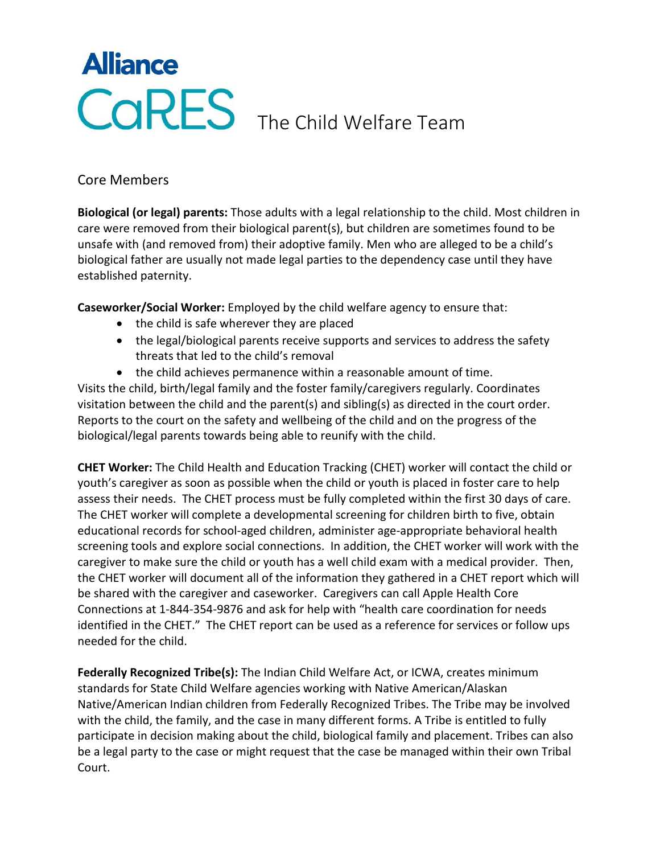## **Alliance** CORES The Child Welfare Team

## Core Members

**Biological (or legal) parents:** Those adults with a legal relationship to the child. Most children in care were removed from their biological parent(s), but children are sometimes found to be unsafe with (and removed from) their adoptive family. Men who are alleged to be a child's biological father are usually not made legal parties to the dependency case until they have established paternity.

**Caseworker/Social Worker:** Employed by the child welfare agency to ensure that:

- the child is safe wherever they are placed
- the legal/biological parents receive supports and services to address the safety threats that led to the child's removal
- the child achieves permanence within a reasonable amount of time.

Visits the child, birth/legal family and the foster family/caregivers regularly. Coordinates visitation between the child and the parent(s) and sibling(s) as directed in the court order. Reports to the court on the safety and wellbeing of the child and on the progress of the biological/legal parents towards being able to reunify with the child.

**CHET Worker:** The Child Health and Education Tracking (CHET) worker will contact the child or youth's caregiver as soon as possible when the child or youth is placed in foster care to help assess their needs. The CHET process must be fully completed within the first 30 days of care. The CHET worker will complete a developmental screening for children birth to five, obtain educational records for school-aged children, administer age-appropriate behavioral health screening tools and explore social connections. In addition, the CHET worker will work with the caregiver to make sure the child or youth has a well child exam with a medical provider. Then, the CHET worker will document all of the information they gathered in a CHET report which will be shared with the caregiver and caseworker. Caregivers can call Apple Health Core Connections at 1-844-354-9876 and ask for help with "health care coordination for needs identified in the CHET." The CHET report can be used as a reference for services or follow ups needed for the child.

**Federally Recognized Tribe(s):** The Indian Child Welfare Act, or ICWA, creates minimum standards for State Child Welfare agencies working with Native American/Alaskan Native/American Indian children from Federally Recognized Tribes. The Tribe may be involved with the child, the family, and the case in many different forms. A Tribe is entitled to fully participate in decision making about the child, biological family and placement. Tribes can also be a legal party to the case or might request that the case be managed within their own Tribal Court.